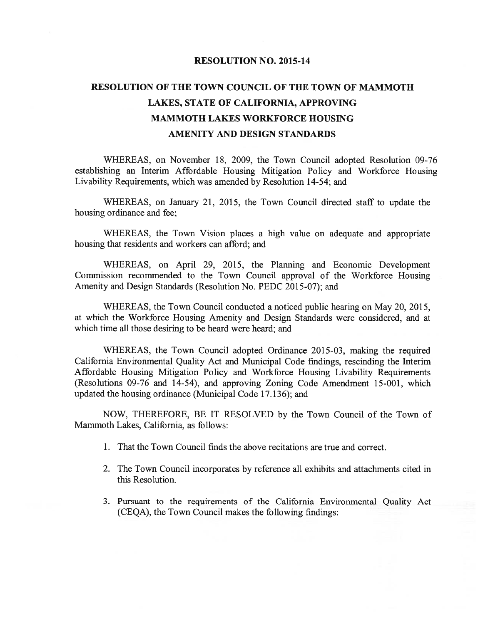### RESOLUTION NO. 2015-14

# RESOLUTION OF THE TOWN COUNCIL OF THE TOWN OF MAMMOTH LAKES, STATE OF CALIFORNIA, APPROVING MAMMOTH LAKES WORKFORCE HOUSING AMENITY AND DESIGN STANDARDS

WHEREAS, on November 18, 2009, the Town Council adopted Resolution 09-76 establishing an Interim Affordable Housing Mitigation Policy and Workforce Housing Livability Requirements, which was amended by Resolution 14-54; and

WHEREAS, on January 21, 2015, the Town Council directed staff to update the housing ordinance and fee;

WHEREAS, the Town Vision places <sup>a</sup> high value on adequate and appropriate housing that residents and workers can afford; and

WHEREAS, on April 29, 2015, the Planning and Economic Development Commission recommended to the Town Council approval of the Workforce Housing Amenity and Design Standards (Resolution No. PEDC 2015-07); and

WHEREAS, the Town Council conducted <sup>a</sup> noticed public hearing on May 20, 2015, at which the Workforce Housing Amenity and Design Standards were considered, and at which time all those desiring to be heard were heard; and

WHEREAS, the Town Council adopted Ordinance 2015-03, making the required California Environmental Quality Act and Municipal Code findings, rescinding the Interim Affordable Housing Mitigation Policy and Workforce Housing Livability Requirements (Resolutions 09-76 and 14-54), and approving Zoning Code Amendment 15-001, which updated the housing ordinance (Municipal Code 17.136); and

NOW, THEREFORE, BE IT RESOLVED by the Town Council of the Town of Mammoth Lakes, California, as follows:

- 1. That the Town Council finds the above recitations are true and correct.
- 2. The Town Council incorporates by reference all exhibits and attachments cited in this Resolution.
- 3. Pursuant to the requirements of the California Environmental Quality Act (CEQA), the Town Council makes the following findings: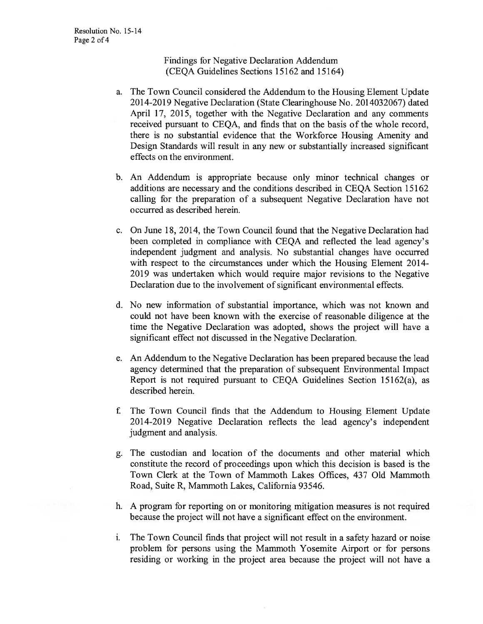Findings for Negative Declaration Addendum (CEQA Guidelines Sections 15162 and 15164)

- a. The Town Council considered the Addendum to the Housing Element Update 2014-2019 Negative Declaration (State Clearinghouse No. 2014032067) dated April 17, 2015, together with the Negative Declaration and any comments received pursuant to CEQA, and fmds that on the basis of the whole record, there is no substantial evidence that the Workforce Housing Amenity and Design Standards will result in any new or substantially increased significant effects on the environment.
- b. An Addendum is appropriate because only minor technical changes or additions are necessary and the conditions described in CEQA Section 15162 calling for the preparation of <sup>a</sup> subsequent Negative Declaration have not occurred as described herein.
- c. On June 18, 2014, the Town Council found that the Negative Declaration had been completed in compliance with CEQA and reflected the lead agency's independent judgment and analysis. No substantial changes have occurred with respect to the circumstances under which the Housing Element 2014- 2019 was undertaken which would require major revisions to the Negative Declaration due to the involvement of significant environmental effects.
- d. No new information of substantial importance, which was not known and could not have been known with the exercise of reasonable diligence at the time the Negative Declaration was adopted, shows the project will have <sup>a</sup> significant effect not discussed in the Negative Declaration.
- e. An Addendum to the Negative Declaration has been prepared because the lead agency determined that the preparation of subsequent Environmental Impact Report is not required pursuant to CEQA Guidelines Section 15162(a), as described herein.
- f. The Town Council finds that the Addendum to Housing Element Update 2014-2019 Negative Declaration reflects the lead agency's independent judgment and analysis.
- g. The custodian and location of the documents and other material which constitute the record of proceedings upon which this decision is based is the Town Clerk at the Town of Mammoth Lakes Offices, 437 Old Mammoth Road, Suite R, Mammoth Lakes, California 93546.
- h. <sup>A</sup> program for reporting on or monitoring mitigation measures is not required because the project will not have <sup>a</sup> significant effect on the environment.
- i. The Town Council fmds that project will not result in <sup>a</sup> safety hazard or noise problem for persons using the Mammoth Yosemite Airport or for persons residing or working in the project area because the project will not have <sup>a</sup>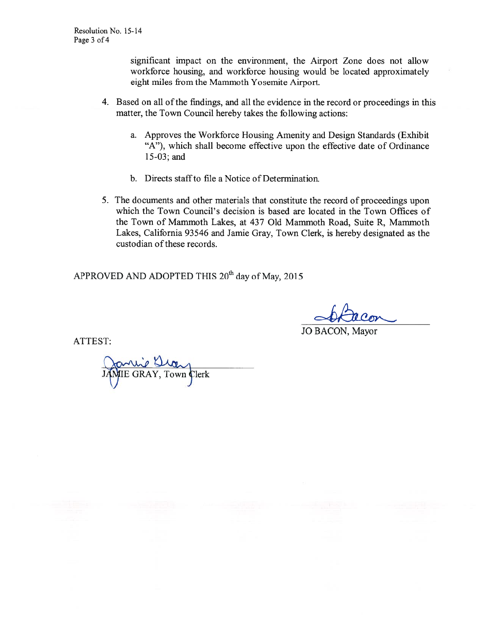significant impact on the environment, the Airport Zone does not allow workforce housing, and workforce housing would be located approximately eight miles from the Mammoth Yosemite Airport.

- 4. Based on all ofthe fmdings, and all the evidence in the record or proceedings in this matter, the Town Council hereby takes the following actions:
	- a. Approves the Workforce Housing Amenity and Design Standards (Exhibit "A"), which shall become effective upon the effective date of Ordinance 15-03; and
	- b. Directs staff to file a Notice of Determination.
- 5. The documents and other materials that constitute the record of proceedings upon which the Town Council's decision is based are located in the Town Offices of the Town of Mammoth Lakes, at 437 Old Mammoth Road, Suite R, Mammoth Lakes, California 93546 and Jamie Gray, Town Clerk, is hereby designated as the custodian of these records.

APPROVED AND ADOPTED THIS 20<sup>th</sup> day of May, 2015

JO BACON, Mayor

ATTEST:

 $\Delta w$ IE GRAY, Town Clerk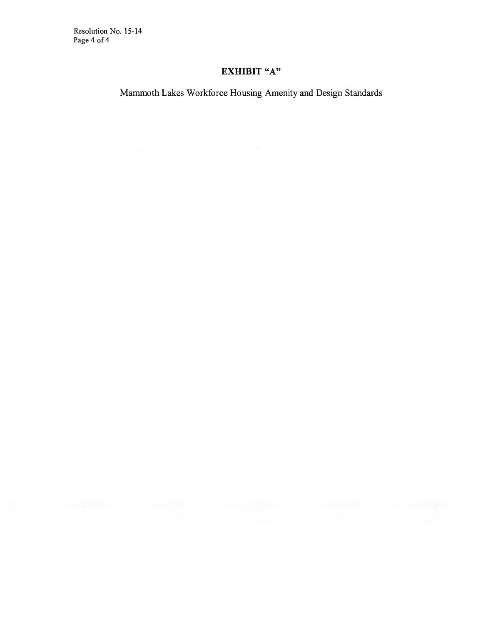Resolution No. 15-14 Page 4 of 4

## EXHIBIT "A"

Mammoth Lakes Workforce Housing Amenity and Design Standards

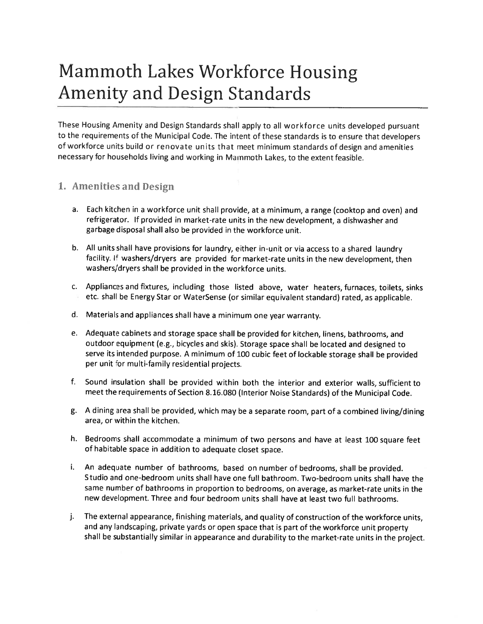# Mammoth Lakes Workforce Housing Amenity and Design Standards

These Housing Amenity and Design Standards shall apply to all workforce units developed pursuant to the requirements of the Municipal Code. The intent of these standards is to ensure that developers of workforce units build or renovate units that meet minimum standards of design and amenities necessary for households living and working in Mammoth Lakes, to the extent feasible.

### 1. Amenities and Design

- a. Each kitchen in <sup>a</sup> workforce unit shall provide, at <sup>a</sup> minimum, <sup>a</sup> range (cooktop and oven) and refrigerator. If provided in market-rate units in the new development, <sup>a</sup> dishwasher and garbage disposal shall also be provided in the workforce unit.
- b. All units shall have provisions for laundry, either in-unit or via access to <sup>a</sup> shared laundry facility. If washers/dryers are provided for market-rate units in the new development, then washers/dryers shall be provided in the workforce units.
- c. Appliances and fixtures, including those listed above, water heaters, furnaces, toilets, sinks etc. shall be Energy Star or WaterSense (or similar equivalent standard) rated, as applicable.
- d. Materials and appliances shall have <sup>a</sup> minimum one year warranty.
- e. Adequate cabinets and storage space shall be provided for kitchen, linens, bathrooms, and outdoor equipment (e.g., bicycles and skis). Storage space shall be located and designed to serve its intended purpose. <sup>A</sup> minimum of <sup>100</sup> cubic feet of lockable storage shall be provided per unit for multi-family residential projects.
- f. Sound insulation shall be provided within both the interior and exterior walls, sufficient to meet the requirements of Section 8.16.080 (Interior Noise Standards) of the Municipal Code.
- g. A dining area shall be provided, which may be <sup>a</sup> separate room, part of <sup>a</sup> combined living/dining area, or within the kitchen.
- h. Bedrooms shall accommodate <sup>a</sup> minimum of two persons and have at least <sup>100</sup> square feet of habitable space in addition to adequate closet space.
- i. An adequate number of bathrooms, based on number of bedrooms, shall be provided. Studio and one-bedroom units shall have one full bathroom. Two-bedroom units shall have the same number of bathrooms in proportion to bedrooms, on average, as market-rate units in the new development. Three and four bedroom units shall have at least two full bathrooms.
- j. The external appearance, finishing materials, and quality of construction of the workforce units, and any landscaping, private yards or open space that is part of the workforce unit property shall be substantially similar in appearance and durability to the market-rate units in the project.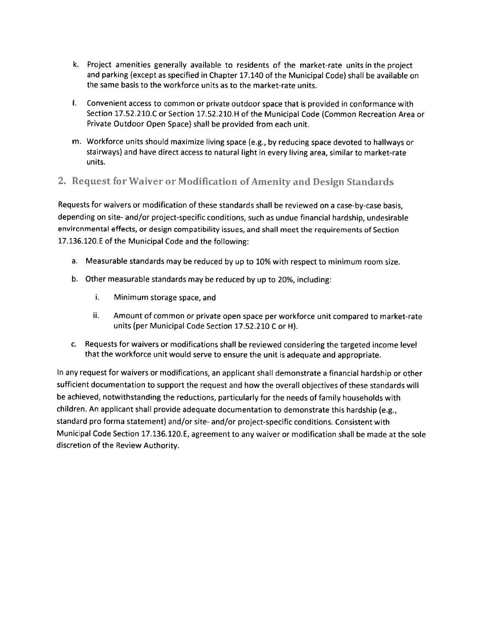- k. Project amenities generally available to residents of the market-rate units in the project and parking (except as specified in Chapter 17.140 of the Municipal Code) shall be available on the same basis to the workforce units as to the market-rate units.
- I. Convenient access to common or private outdoor space that is provided in conformance with Section 17.52.210.C or Section 17.52.210.H of the Municipal Code (Common Recreation Area or Private Outdoor Open Space) shall be provided from each unit.
- m. Workforce units should maximize living space (e.g., by reducing space devoted to hallways or stairways) and have direct access to natural light in every living area, similar to market-rate units.

### 2. Request for Waiver or Modification of Amenity and Design Standards

Requests for waivers or modification of these standards shall be reviewed on <sup>a</sup> case-by-case basis, depending on site- and/or project-specific conditions, such as undue financial hardship, undesirable environmental effects, or design compatibility issues, and shall meet the requirements of Section 17.136.120.E of the Municipal Code and the following:

- a. Measurable standards may be reduced by up to 10% with respect to minimum room size.
- b. Other measurable standards may be reduced by up to 20%, including:
	- i. Minimum storage space, and
	- ii. Amount of common or private open space per workforce unit compared to market-rate units (per Municipal Code Section 17.52.210 C or H).
- c. Requests for waivers or modifications shall be reviewed considering the targeted income level that the workforce unit would serve to ensure the unit is adequate and appropriate.

In any request for waivers or modifications, an applicant shall demonstrate <sup>a</sup> financial hardship or other sufficient documentation to support the request and how the overall objectives of these standards will be achieved, notwithstanding the reductions, particularly for the needs of family households with children. An applicant shall provide adequate documentation to demonstrate this hardship (e.g., standard pro forma statement) and/or site- and/or project-specific conditions. Consistent with Municipal Code Section 17.136. 120. E, agreement to any waiver or modification shall be made at the sole discretion of the Review Authority.